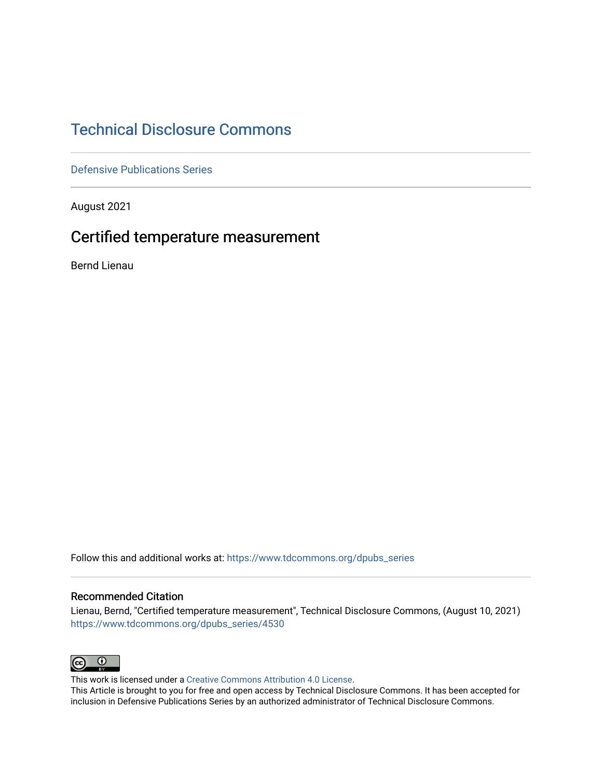# [Technical Disclosure Commons](https://www.tdcommons.org/)

[Defensive Publications Series](https://www.tdcommons.org/dpubs_series)

August 2021

## Certified temperature measurement

Bernd Lienau

Follow this and additional works at: [https://www.tdcommons.org/dpubs\\_series](https://www.tdcommons.org/dpubs_series?utm_source=www.tdcommons.org%2Fdpubs_series%2F4530&utm_medium=PDF&utm_campaign=PDFCoverPages) 

## Recommended Citation

Lienau, Bernd, "Certified temperature measurement", Technical Disclosure Commons, (August 10, 2021) [https://www.tdcommons.org/dpubs\\_series/4530](https://www.tdcommons.org/dpubs_series/4530?utm_source=www.tdcommons.org%2Fdpubs_series%2F4530&utm_medium=PDF&utm_campaign=PDFCoverPages)



This work is licensed under a [Creative Commons Attribution 4.0 License](http://creativecommons.org/licenses/by/4.0/deed.en_US).

This Article is brought to you for free and open access by Technical Disclosure Commons. It has been accepted for inclusion in Defensive Publications Series by an authorized administrator of Technical Disclosure Commons.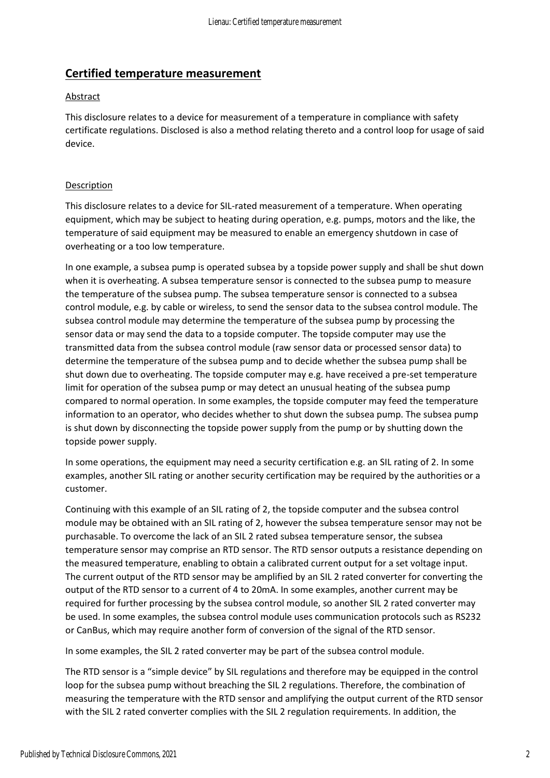## **Certified temperature measurement**

#### Abstract

This disclosure relates to a device for measurement of a temperature in compliance with safety certificate regulations. Disclosed is also a method relating thereto and a control loop for usage of said device.

## Description

This disclosure relates to a device for SIL-rated measurement of a temperature. When operating equipment, which may be subject to heating during operation, e.g. pumps, motors and the like, the temperature of said equipment may be measured to enable an emergency shutdown in case of overheating or a too low temperature.

In one example, a subsea pump is operated subsea by a topside power supply and shall be shut down when it is overheating. A subsea temperature sensor is connected to the subsea pump to measure the temperature of the subsea pump. The subsea temperature sensor is connected to a subsea control module, e.g. by cable or wireless, to send the sensor data to the subsea control module. The subsea control module may determine the temperature of the subsea pump by processing the sensor data or may send the data to a topside computer. The topside computer may use the transmitted data from the subsea control module (raw sensor data or processed sensor data) to determine the temperature of the subsea pump and to decide whether the subsea pump shall be shut down due to overheating. The topside computer may e.g. have received a pre-set temperature limit for operation of the subsea pump or may detect an unusual heating of the subsea pump compared to normal operation. In some examples, the topside computer may feed the temperature information to an operator, who decides whether to shut down the subsea pump. The subsea pump is shut down by disconnecting the topside power supply from the pump or by shutting down the topside power supply.

In some operations, the equipment may need a security certification e.g. an SIL rating of 2. In some examples, another SIL rating or another security certification may be required by the authorities or a customer.

Continuing with this example of an SIL rating of 2, the topside computer and the subsea control module may be obtained with an SIL rating of 2, however the subsea temperature sensor may not be purchasable. To overcome the lack of an SIL 2 rated subsea temperature sensor, the subsea temperature sensor may comprise an RTD sensor. The RTD sensor outputs a resistance depending on the measured temperature, enabling to obtain a calibrated current output for a set voltage input. The current output of the RTD sensor may be amplified by an SIL 2 rated converter for converting the output of the RTD sensor to a current of 4 to 20mA. In some examples, another current may be required for further processing by the subsea control module, so another SIL 2 rated converter may be used. In some examples, the subsea control module uses communication protocols such as RS232 or CanBus, which may require another form of conversion of the signal of the RTD sensor.

In some examples, the SIL 2 rated converter may be part of the subsea control module.

The RTD sensor is a "simple device" by SIL regulations and therefore may be equipped in the control loop for the subsea pump without breaching the SIL 2 regulations. Therefore, the combination of measuring the temperature with the RTD sensor and amplifying the output current of the RTD sensor with the SIL 2 rated converter complies with the SIL 2 regulation requirements. In addition, the